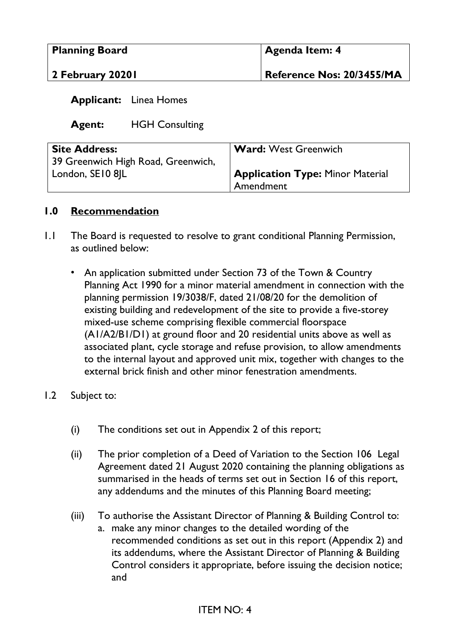| <b>Planning Board</b> | <b>Agenda Item: 4</b>     |
|-----------------------|---------------------------|
| 2 February 2020 l     | Reference Nos: 20/3455/MA |

#### **Applicant:** Linea Homes

**Agent:** HGH Consulting

| <b>Site Address:</b>               | <b>Ward: West Greenwich</b>             |
|------------------------------------|-----------------------------------------|
| 39 Greenwich High Road, Greenwich, |                                         |
| London, SE10 8 L                   | <b>Application Type: Minor Material</b> |
|                                    | Amendment                               |

#### **1.0 Recommendation**

- 1.1 The Board is requested to resolve to grant conditional Planning Permission, as outlined below:
	- An application submitted under Section 73 of the Town & Country Planning Act 1990 for a minor material amendment in connection with the planning permission 19/3038/F, dated 21/08/20 for the demolition of existing building and redevelopment of the site to provide a five-storey mixed-use scheme comprising flexible commercial floorspace (A1/A2/B1/D1) at ground floor and 20 residential units above as well as associated plant, cycle storage and refuse provision, to allow amendments to the internal layout and approved unit mix, together with changes to the external brick finish and other minor fenestration amendments.
- 1.2 Subject to:
	- (i) The conditions set out in Appendix 2 of this report;
	- (ii) The prior completion of a Deed of Variation to the Section 106 Legal Agreement dated 21 August 2020 containing the planning obligations as summarised in the heads of terms set out in Section 16 of this report, any addendums and the minutes of this Planning Board meeting;
	- (iii) To authorise the Assistant Director of Planning & Building Control to:
		- a. make any minor changes to the detailed wording of the recommended conditions as set out in this report (Appendix 2) and its addendums, where the Assistant Director of Planning & Building Control considers it appropriate, before issuing the decision notice; and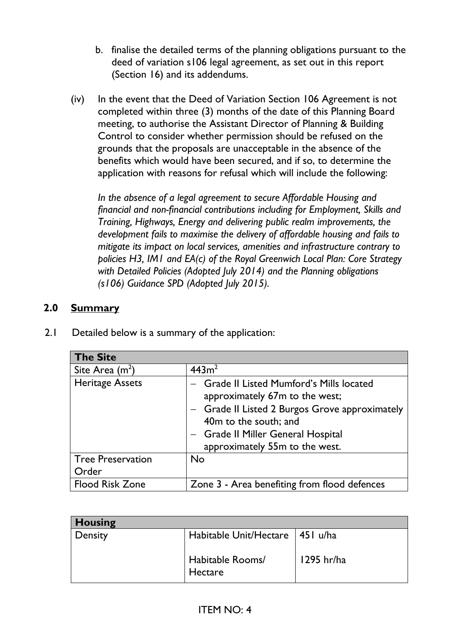- b. finalise the detailed terms of the planning obligations pursuant to the deed of variation s106 legal agreement, as set out in this report (Section 16) and its addendums.
- (iv) In the event that the Deed of Variation Section 106 Agreement is not completed within three (3) months of the date of this Planning Board meeting, to authorise the Assistant Director of Planning & Building Control to consider whether permission should be refused on the grounds that the proposals are unacceptable in the absence of the benefits which would have been secured, and if so, to determine the application with reasons for refusal which will include the following:

*In the absence of a legal agreement to secure Affordable Housing and financial and non-financial contributions including for Employment, Skills and Training, Highways, Energy and delivering public realm improvements, the development fails to maximise the delivery of affordable housing and fails to mitigate its impact on local services, amenities and infrastructure contrary to policies H3, IM1 and EA(c) of the Royal Greenwich Local Plan: Core Strategy with Detailed Policies (Adopted July 2014) and the Planning obligations (s106) Guidance SPD (Adopted July 2015).* 

### **2.0 Summary**

| <b>The Site</b>          |                                                                                                                                                                                                                                |
|--------------------------|--------------------------------------------------------------------------------------------------------------------------------------------------------------------------------------------------------------------------------|
| Site Area $(m2)$         | 443m <sup>2</sup>                                                                                                                                                                                                              |
| <b>Heritage Assets</b>   | - Grade II Listed Mumford's Mills located<br>approximately 67m to the west;<br>- Grade II Listed 2 Burgos Grove approximately<br>40m to the south; and<br>- Grade II Miller General Hospital<br>approximately 55m to the west. |
| <b>Tree Preservation</b> | <b>No</b>                                                                                                                                                                                                                      |
| Order                    |                                                                                                                                                                                                                                |
| <b>Flood Risk Zone</b>   | Zone 3 - Area benefiting from flood defences                                                                                                                                                                                   |

2.1 Detailed below is a summary of the application:

| <b>Housing</b> |                                   |            |
|----------------|-----------------------------------|------------|
| Density        | Habitable Unit/Hectare   451 u/ha |            |
|                | Habitable Rooms/<br>Hectare       | 1295 hr/ha |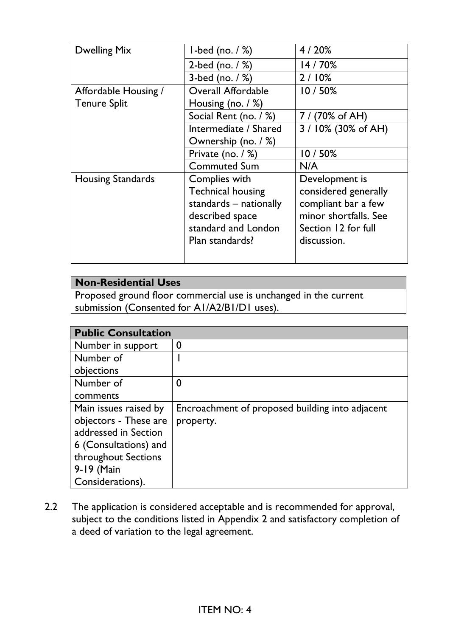| <b>Dwelling Mix</b>      | $1$ -bed (no. $/$ %)      | 4/20%                 |  |
|--------------------------|---------------------------|-----------------------|--|
|                          | 2-bed (no. $/$ %)         | 14/70%                |  |
|                          | 3-bed (no. $/$ %)         | 2/10%                 |  |
| Affordable Housing /     | <b>Overall Affordable</b> | 10/50%                |  |
| <b>Tenure Split</b>      | Housing (no. $/$ %)       |                       |  |
|                          | Social Rent (no. / %)     | 7 / (70% of AH)       |  |
|                          | Intermediate / Shared     | 3 / 10% (30% of AH)   |  |
|                          | Ownership (no. / %)       |                       |  |
|                          | Private (no. $/$ %)       | 10/50%                |  |
|                          | <b>Commuted Sum</b>       | N/A                   |  |
| <b>Housing Standards</b> | Complies with             | Development is        |  |
|                          | <b>Technical housing</b>  | considered generally  |  |
|                          | standards – nationally    | compliant bar a few   |  |
|                          | described space           | minor shortfalls. See |  |
|                          | standard and London       | Section 12 for full   |  |
|                          | Plan standards?           | discussion.           |  |
|                          |                           |                       |  |
|                          |                           |                       |  |

# **Non-Residential Uses**

Proposed ground floor commercial use is unchanged in the current submission (Consented for A1/A2/B1/D1 uses).

| <b>Public Consultation</b> |                                                 |
|----------------------------|-------------------------------------------------|
| Number in support          | 0                                               |
| Number of                  |                                                 |
| objections                 |                                                 |
| Number of                  | 0                                               |
| comments                   |                                                 |
| Main issues raised by      | Encroachment of proposed building into adjacent |
| objectors - These are      | property.                                       |
| addressed in Section       |                                                 |
| 6 (Consultations) and      |                                                 |
| throughout Sections        |                                                 |
| 9-19 (Main                 |                                                 |
| Considerations).           |                                                 |

2.2 The application is considered acceptable and is recommended for approval, subject to the conditions listed in Appendix 2 and satisfactory completion of a deed of variation to the legal agreement.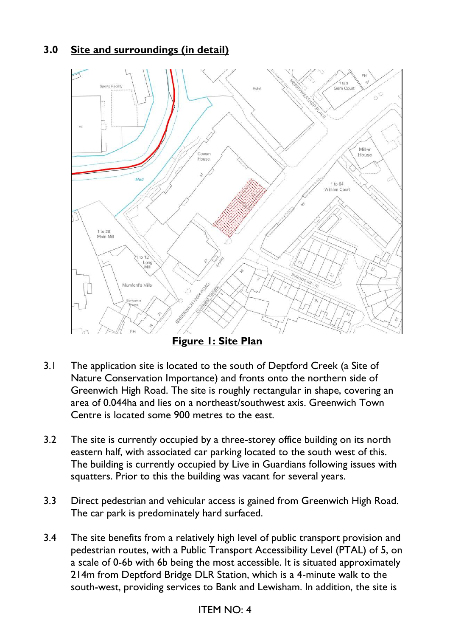## **3.0 Site and surroundings (in detail)**



**Figure 1: Site Plan** 

- 3.1 The application site is located to the south of Deptford Creek (a Site of Nature Conservation Importance) and fronts onto the northern side of Greenwich High Road. The site is roughly rectangular in shape, covering an area of 0.044ha and lies on a northeast/southwest axis. Greenwich Town Centre is located some 900 metres to the east.
- 3.2 The site is currently occupied by a three-storey office building on its north eastern half, with associated car parking located to the south west of this. The building is currently occupied by Live in Guardians following issues with squatters. Prior to this the building was vacant for several years.
- 3.3 Direct pedestrian and vehicular access is gained from Greenwich High Road. The car park is predominately hard surfaced.
- 3.4 The site benefits from a relatively high level of public transport provision and pedestrian routes, with a Public Transport Accessibility Level (PTAL) of 5, on a scale of 0-6b with 6b being the most accessible. It is situated approximately 214m from Deptford Bridge DLR Station, which is a 4-minute walk to the south-west, providing services to Bank and Lewisham. In addition, the site is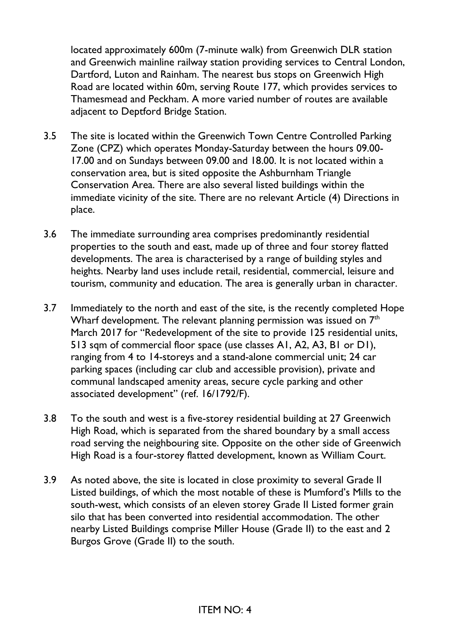located approximately 600m (7-minute walk) from Greenwich DLR station and Greenwich mainline railway station providing services to Central London, Dartford, Luton and Rainham. The nearest bus stops on Greenwich High Road are located within 60m, serving Route 177, which provides services to Thamesmead and Peckham. A more varied number of routes are available adjacent to Deptford Bridge Station.

- 3.5 The site is located within the Greenwich Town Centre Controlled Parking Zone (CPZ) which operates Monday-Saturday between the hours 09.00- 17.00 and on Sundays between 09.00 and 18.00. It is not located within a conservation area, but is sited opposite the Ashburnham Triangle Conservation Area. There are also several listed buildings within the immediate vicinity of the site. There are no relevant Article (4) Directions in place.
- 3.6 The immediate surrounding area comprises predominantly residential properties to the south and east, made up of three and four storey flatted developments. The area is characterised by a range of building styles and heights. Nearby land uses include retail, residential, commercial, leisure and tourism, community and education. The area is generally urban in character.
- 3.7 Immediately to the north and east of the site, is the recently completed Hope Wharf development. The relevant planning permission was issued on  $7<sup>th</sup>$ March 2017 for "Redevelopment of the site to provide 125 residential units, 513 sqm of commercial floor space (use classes A1, A2, A3, B1 or D1), ranging from 4 to 14-storeys and a stand-alone commercial unit; 24 car parking spaces (including car club and accessible provision), private and communal landscaped amenity areas, secure cycle parking and other associated development" (ref. 16/1792/F).
- 3.8 To the south and west is a five-storey residential building at 27 Greenwich High Road, which is separated from the shared boundary by a small access road serving the neighbouring site. Opposite on the other side of Greenwich High Road is a four-storey flatted development, known as William Court.
- 3.9 As noted above, the site is located in close proximity to several Grade II Listed buildings, of which the most notable of these is Mumford's Mills to the south-west, which consists of an eleven storey Grade II Listed former grain silo that has been converted into residential accommodation. The other nearby Listed Buildings comprise Miller House (Grade II) to the east and 2 Burgos Grove (Grade II) to the south.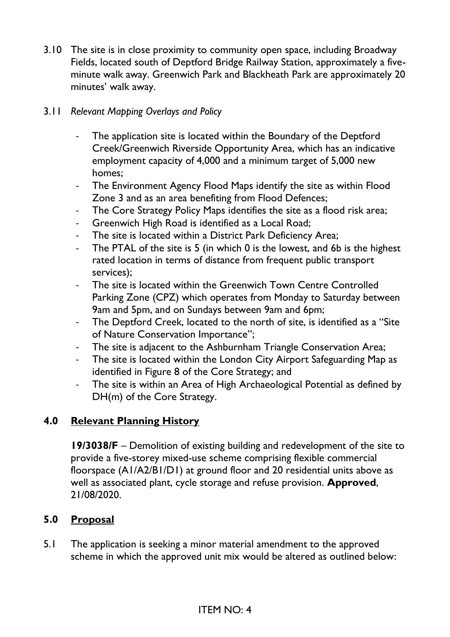3.10 The site is in close proximity to community open space, including Broadway Fields, located south of Deptford Bridge Railway Station, approximately a fiveminute walk away. Greenwich Park and Blackheath Park are approximately 20 minutes' walk away.

### 3.11 *Relevant Mapping Overlays and Policy*

- The application site is located within the Boundary of the Deptford Creek/Greenwich Riverside Opportunity Area, which has an indicative employment capacity of 4,000 and a minimum target of 5,000 new homes;
- The Environment Agency Flood Maps identify the site as within Flood Zone 3 and as an area benefiting from Flood Defences;
- The Core Strategy Policy Maps identifies the site as a flood risk area;
- Greenwich High Road is identified as a Local Road;
- The site is located within a District Park Deficiency Area;
- The PTAL of the site is 5 (in which 0 is the lowest, and 6b is the highest rated location in terms of distance from frequent public transport services);
- The site is located within the Greenwich Town Centre Controlled Parking Zone (CPZ) which operates from Monday to Saturday between 9am and 5pm, and on Sundays between 9am and 6pm;
- The Deptford Creek, located to the north of site, is identified as a "Site of Nature Conservation Importance";
- The site is adjacent to the Ashburnham Triangle Conservation Area;
- The site is located within the London City Airport Safeguarding Map as identified in Figure 8 of the Core Strategy; and
- The site is within an Area of High Archaeological Potential as defined by DH(m) of the Core Strategy.

# **4.0 Relevant Planning History**

**19/3038/F** – Demolition of existing building and redevelopment of the site to provide a five-storey mixed-use scheme comprising flexible commercial floorspace (A1/A2/B1/D1) at ground floor and 20 residential units above as well as associated plant, cycle storage and refuse provision. **Approved**, 21/08/2020.

## **5.0 Proposal**

5.1 The application is seeking a minor material amendment to the approved scheme in which the approved unit mix would be altered as outlined below: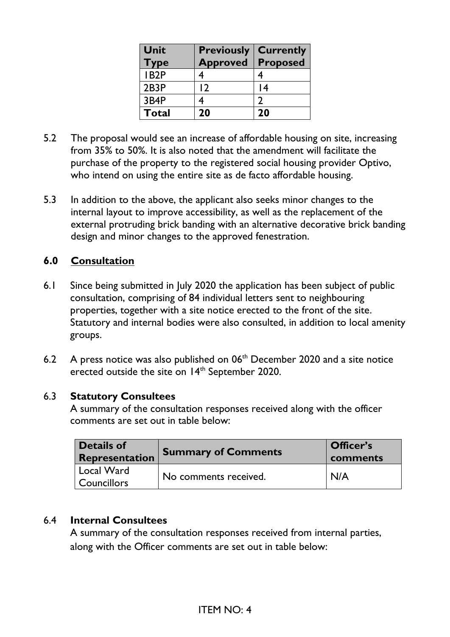| Unit<br>Type      | <b>Previously</b><br><b>Approved</b> | <b>Currently</b><br><b>Proposed</b> |
|-------------------|--------------------------------------|-------------------------------------|
| IB <sub>2</sub> P |                                      |                                     |
| 2B3P              | $\overline{2}$                       | 4                                   |
| 3B4P              |                                      |                                     |
| Total             | 20                                   | 20                                  |

- 5.2 The proposal would see an increase of affordable housing on site, increasing from 35% to 50%. It is also noted that the amendment will facilitate the purchase of the property to the registered social housing provider Optivo, who intend on using the entire site as de facto affordable housing.
- 5.3 In addition to the above, the applicant also seeks minor changes to the internal layout to improve accessibility, as well as the replacement of the external protruding brick banding with an alternative decorative brick banding design and minor changes to the approved fenestration.

### **6.0 Consultation**

- 6.1 Since being submitted in July 2020 the application has been subject of public consultation, comprising of 84 individual letters sent to neighbouring properties, together with a site notice erected to the front of the site. Statutory and internal bodies were also consulted, in addition to local amenity groups.
- 6.2 A press notice was also published on  $06<sup>th</sup>$  December 2020 and a site notice erected outside the site on 14<sup>th</sup> September 2020.

#### 6.3 **Statutory Consultees**

A summary of the consultation responses received along with the officer comments are set out in table below:

| Details of<br>Representation           | <b>Summary of Comments</b> | Officer's<br>comments |  |
|----------------------------------------|----------------------------|-----------------------|--|
| Local Ward<br><sup>I</sup> Councillors | No comments received.      | N/A                   |  |

#### 6.4 **Internal Consultees**

A summary of the consultation responses received from internal parties, along with the Officer comments are set out in table below: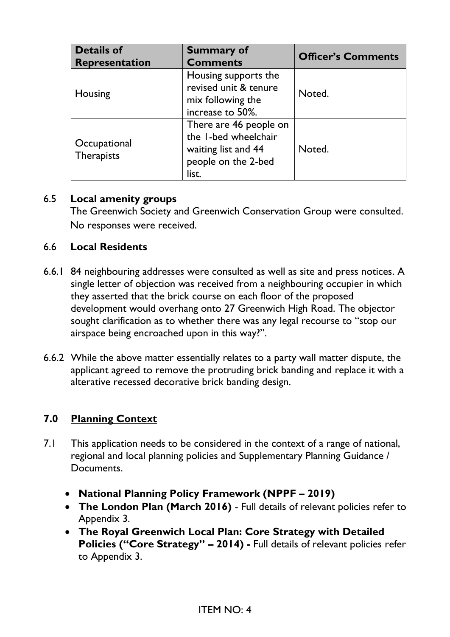| <b>Details of</b><br><b>Representation</b> | <b>Summary of</b><br><b>Comments</b>                                                                  | <b>Officer's Comments</b> |
|--------------------------------------------|-------------------------------------------------------------------------------------------------------|---------------------------|
| Housing                                    | Housing supports the<br>revised unit & tenure<br>mix following the<br>increase to 50%.                | Noted.                    |
| Occupational<br><b>Therapists</b>          | There are 46 people on<br>the I-bed wheelchair<br>waiting list and 44<br>people on the 2-bed<br>list. | Noted.                    |

#### 6.5 **Local amenity groups**

The Greenwich Society and Greenwich Conservation Group were consulted. No responses were received.

#### 6.6 **Local Residents**

- 6.6.1 84 neighbouring addresses were consulted as well as site and press notices. A single letter of objection was received from a neighbouring occupier in which they asserted that the brick course on each floor of the proposed development would overhang onto 27 Greenwich High Road. The objector sought clarification as to whether there was any legal recourse to "stop our airspace being encroached upon in this way?".
- 6.6.2 While the above matter essentially relates to a party wall matter dispute, the applicant agreed to remove the protruding brick banding and replace it with a alterative recessed decorative brick banding design.

### **7.0 Planning Context**

- 7.1 This application needs to be considered in the context of a range of national, regional and local planning policies and Supplementary Planning Guidance / Documents.
	- **National Planning Policy Framework (NPPF – 2019)**
	- **The London Plan (March 2016)** Full details of relevant policies refer to Appendix 3.
	- **The Royal Greenwich Local Plan: Core Strategy with Detailed Policies ("Core Strategy" – 2014) -** Full details of relevant policies refer to Appendix 3.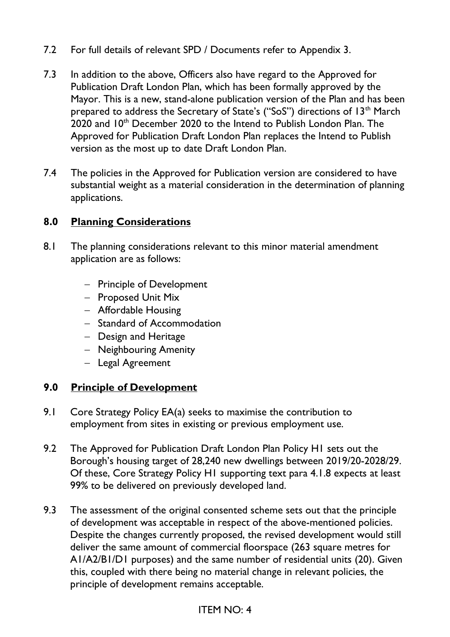- 7.2 For full details of relevant SPD / Documents refer to Appendix 3.
- 7.3 In addition to the above, Officers also have regard to the Approved for Publication Draft London Plan, which has been formally approved by the Mayor. This is a new, stand-alone publication version of the Plan and has been prepared to address the Secretary of State's ("SoS") directions of 13<sup>th</sup> March 2020 and 10<sup>th</sup> December 2020 to the Intend to Publish London Plan. The Approved for Publication Draft London Plan replaces the Intend to Publish version as the most up to date Draft London Plan.
- 7.4 The policies in the Approved for Publication version are considered to have substantial weight as a material consideration in the determination of planning applications.

### **8.0 Planning Considerations**

- 8.1 The planning considerations relevant to this minor material amendment application are as follows:
	- − Principle of Development
	- − Proposed Unit Mix
	- − Affordable Housing
	- − Standard of Accommodation
	- − Design and Heritage
	- − Neighbouring Amenity
	- − Legal Agreement

### **9.0 Principle of Development**

- 9.1 Core Strategy Policy EA(a) seeks to maximise the contribution to employment from sites in existing or previous employment use.
- 9.2 The Approved for Publication Draft London Plan Policy H1 sets out the Borough's housing target of 28,240 new dwellings between 2019/20-2028/29. Of these, Core Strategy Policy H1 supporting text para 4.1.8 expects at least 99% to be delivered on previously developed land.
- 9.3 The assessment of the original consented scheme sets out that the principle of development was acceptable in respect of the above-mentioned policies. Despite the changes currently proposed, the revised development would still deliver the same amount of commercial floorspace (263 square metres for A1/A2/B1/D1 purposes) and the same number of residential units (20). Given this, coupled with there being no material change in relevant policies, the principle of development remains acceptable.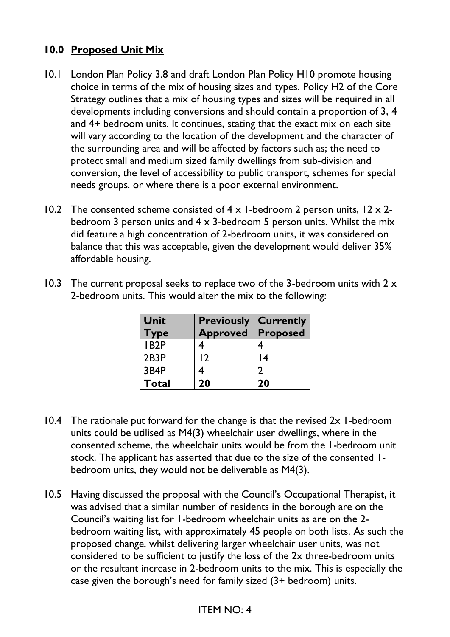## **10.0 Proposed Unit Mix**

- 10.1 London Plan Policy 3.8 and draft London Plan Policy H10 promote housing choice in terms of the mix of housing sizes and types. Policy H2 of the Core Strategy outlines that a mix of housing types and sizes will be required in all developments including conversions and should contain a proportion of 3, 4 and 4+ bedroom units. It continues, stating that the exact mix on each site will vary according to the location of the development and the character of the surrounding area and will be affected by factors such as; the need to protect small and medium sized family dwellings from sub-division and conversion, the level of accessibility to public transport, schemes for special needs groups, or where there is a poor external environment.
- 10.2 The consented scheme consisted of  $4 \times 1$ -bedroom 2 person units,  $12 \times 2$ bedroom 3 person units and 4 x 3-bedroom 5 person units. Whilst the mix did feature a high concentration of 2-bedroom units, it was considered on balance that this was acceptable, given the development would deliver 35% affordable housing.

| Unit<br><b>Type</b> | <b>Previously</b><br><b>Approved</b> | <b>Currently</b><br><b>Proposed</b> |
|---------------------|--------------------------------------|-------------------------------------|
| IB <sub>2</sub> P   |                                      |                                     |
| 2B3P                | $\overline{2}$                       | 4 ا                                 |
| 3B4P                |                                      |                                     |
| <b>Total</b>        | 20                                   | 20                                  |

10.3 The current proposal seeks to replace two of the 3-bedroom units with  $2 \times$ 2-bedroom units. This would alter the mix to the following:

- 10.4 The rationale put forward for the change is that the revised 2x 1-bedroom units could be utilised as M4(3) wheelchair user dwellings, where in the consented scheme, the wheelchair units would be from the 1-bedroom unit stock. The applicant has asserted that due to the size of the consented 1 bedroom units, they would not be deliverable as M4(3).
- 10.5 Having discussed the proposal with the Council's Occupational Therapist, it was advised that a similar number of residents in the borough are on the Council's waiting list for 1-bedroom wheelchair units as are on the 2 bedroom waiting list, with approximately 45 people on both lists. As such the proposed change, whilst delivering larger wheelchair user units, was not considered to be sufficient to justify the loss of the 2x three-bedroom units or the resultant increase in 2-bedroom units to the mix. This is especially the case given the borough's need for family sized (3+ bedroom) units.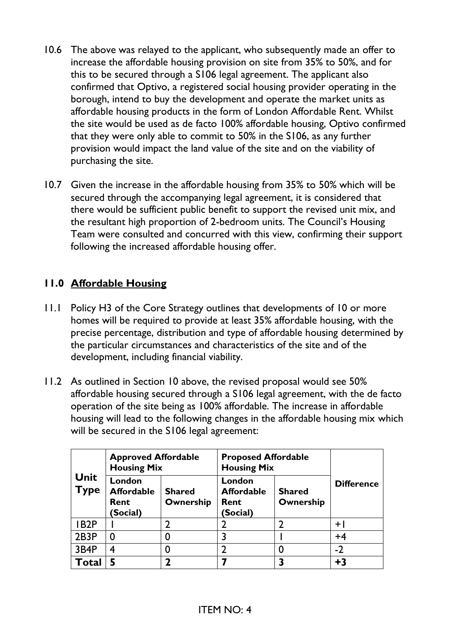- 10.6 The above was relayed to the applicant, who subsequently made an offer to increase the affordable housing provision on site from 35% to 50%, and for this to be secured through a S106 legal agreement. The applicant also confirmed that Optivo, a registered social housing provider operating in the borough, intend to buy the development and operate the market units as affordable housing products in the form of London Affordable Rent. Whilst the site would be used as de facto 100% affordable housing, Optivo confirmed that they were only able to commit to 50% in the S106, as any further provision would impact the land value of the site and on the viability of purchasing the site.
- 10.7 Given the increase in the affordable housing from 35% to 50% which will be secured through the accompanying legal agreement, it is considered that there would be sufficient public benefit to support the revised unit mix, and the resultant high proportion of 2-bedroom units. The Council's Housing Team were consulted and concurred with this view, confirming their support following the increased affordable housing offer.

## **11.0 Affordable Housing**

- 11.1 Policy H3 of the Core Strategy outlines that developments of 10 or more homes will be required to provide at least 35% affordable housing, with the precise percentage, distribution and type of affordable housing determined by the particular circumstances and characteristics of the site and of the development, including financial viability.
- 11.2 As outlined in Section 10 above, the revised proposal would see 50% affordable housing secured through a S106 legal agreement, with the de facto operation of the site being as 100% affordable. The increase in affordable housing will lead to the following changes in the affordable housing mix which will be secured in the S106 legal agreement:

|                            | <b>Approved Affordable</b><br><b>Housing Mix</b> |                            | <b>Proposed Affordable</b><br><b>Housing Mix</b>      |                            |                   |
|----------------------------|--------------------------------------------------|----------------------------|-------------------------------------------------------|----------------------------|-------------------|
| <b>Unit</b><br><b>Type</b> | London<br><b>Affordable</b><br>Rent<br>(Social)  | <b>Shared</b><br>Ownership | London<br><b>Affordable</b><br>Rent<br><b>Social)</b> | <b>Shared</b><br>Ownership | <b>Difference</b> |
| IB <sub>2</sub> P          |                                                  |                            | $\mathbf 2$                                           |                            | $+$               |
| 2B3P                       | 0                                                |                            | 3                                                     |                            | $+4$              |
| 3B4P                       | 4                                                |                            | $\mathcal{P}$                                         |                            | $-2$              |
| Total                      | 5                                                |                            |                                                       |                            | $+3$              |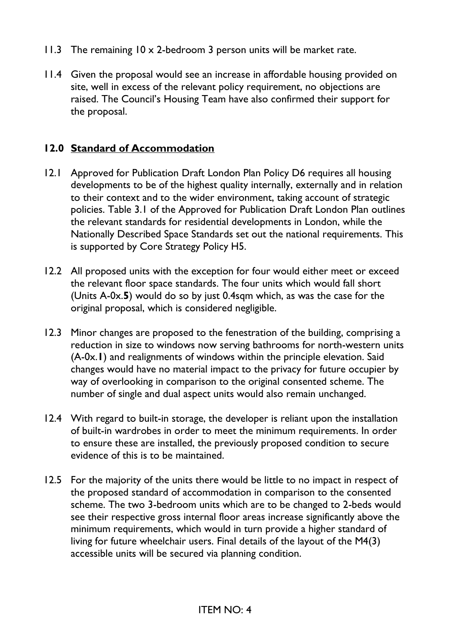- 11.3 The remaining 10 x 2-bedroom 3 person units will be market rate.
- 11.4 Given the proposal would see an increase in affordable housing provided on site, well in excess of the relevant policy requirement, no objections are raised. The Council's Housing Team have also confirmed their support for the proposal.

### **12.0 Standard of Accommodation**

- 12.1 Approved for Publication Draft London Plan Policy D6 requires all housing developments to be of the highest quality internally, externally and in relation to their context and to the wider environment, taking account of strategic policies. Table 3.1 of the Approved for Publication Draft London Plan outlines the relevant standards for residential developments in London, while the Nationally Described Space Standards set out the national requirements. This is supported by Core Strategy Policy H5.
- 12.2 All proposed units with the exception for four would either meet or exceed the relevant floor space standards. The four units which would fall short (Units A-0x.**5**) would do so by just 0.4sqm which, as was the case for the original proposal, which is considered negligible.
- 12.3 Minor changes are proposed to the fenestration of the building, comprising a reduction in size to windows now serving bathrooms for north-western units (A-0x.**1**) and realignments of windows within the principle elevation. Said changes would have no material impact to the privacy for future occupier by way of overlooking in comparison to the original consented scheme. The number of single and dual aspect units would also remain unchanged.
- 12.4 With regard to built-in storage, the developer is reliant upon the installation of built-in wardrobes in order to meet the minimum requirements. In order to ensure these are installed, the previously proposed condition to secure evidence of this is to be maintained.
- 12.5 For the majority of the units there would be little to no impact in respect of the proposed standard of accommodation in comparison to the consented scheme. The two 3-bedroom units which are to be changed to 2-beds would see their respective gross internal floor areas increase significantly above the minimum requirements, which would in turn provide a higher standard of living for future wheelchair users. Final details of the layout of the M4(3) accessible units will be secured via planning condition.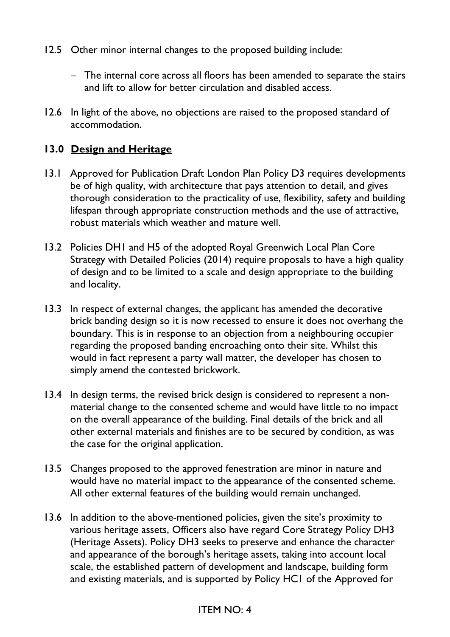- 12.5 Other minor internal changes to the proposed building include:
	- − The internal core across all floors has been amended to separate the stairs and lift to allow for better circulation and disabled access.
- 12.6 In light of the above, no objections are raised to the proposed standard of accommodation.

### **13.0 Design and Heritage**

- 13.1 Approved for Publication Draft London Plan Policy D3 requires developments be of high quality, with architecture that pays attention to detail, and gives thorough consideration to the practicality of use, flexibility, safety and building lifespan through appropriate construction methods and the use of attractive, robust materials which weather and mature well.
- 13.2 Policies DH1 and H5 of the adopted Royal Greenwich Local Plan Core Strategy with Detailed Policies (2014) require proposals to have a high quality of design and to be limited to a scale and design appropriate to the building and locality.
- 13.3 In respect of external changes, the applicant has amended the decorative brick banding design so it is now recessed to ensure it does not overhang the boundary. This is in response to an objection from a neighbouring occupier regarding the proposed banding encroaching onto their site. Whilst this would in fact represent a party wall matter, the developer has chosen to simply amend the contested brickwork.
- 13.4 In design terms, the revised brick design is considered to represent a nonmaterial change to the consented scheme and would have little to no impact on the overall appearance of the building. Final details of the brick and all other external materials and finishes are to be secured by condition, as was the case for the original application.
- 13.5 Changes proposed to the approved fenestration are minor in nature and would have no material impact to the appearance of the consented scheme. All other external features of the building would remain unchanged.
- 13.6 In addition to the above-mentioned policies, given the site's proximity to various heritage assets, Officers also have regard Core Strategy Policy DH3 (Heritage Assets). Policy DH3 seeks to preserve and enhance the character and appearance of the borough's heritage assets, taking into account local scale, the established pattern of development and landscape, building form and existing materials, and is supported by Policy HC1 of the Approved for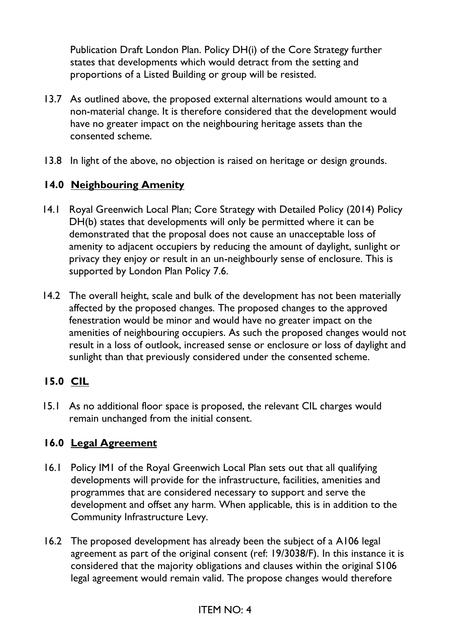Publication Draft London Plan. Policy DH(i) of the Core Strategy further states that developments which would detract from the setting and proportions of a Listed Building or group will be resisted.

- 13.7 As outlined above, the proposed external alternations would amount to a non-material change. It is therefore considered that the development would have no greater impact on the neighbouring heritage assets than the consented scheme.
- 13.8 In light of the above, no objection is raised on heritage or design grounds.

## **14.0 Neighbouring Amenity**

- 14.1 Royal Greenwich Local Plan; Core Strategy with Detailed Policy (2014) Policy DH(b) states that developments will only be permitted where it can be demonstrated that the proposal does not cause an unacceptable loss of amenity to adjacent occupiers by reducing the amount of daylight, sunlight or privacy they enjoy or result in an un-neighbourly sense of enclosure. This is supported by London Plan Policy 7.6.
- 14.2 The overall height, scale and bulk of the development has not been materially affected by the proposed changes. The proposed changes to the approved fenestration would be minor and would have no greater impact on the amenities of neighbouring occupiers. As such the proposed changes would not result in a loss of outlook, increased sense or enclosure or loss of daylight and sunlight than that previously considered under the consented scheme.

## **15.0 CIL**

15.1 As no additional floor space is proposed, the relevant CIL charges would remain unchanged from the initial consent.

## **16.0 Legal Agreement**

- 16.1 Policy IM1 of the Royal Greenwich Local Plan sets out that all qualifying developments will provide for the infrastructure, facilities, amenities and programmes that are considered necessary to support and serve the development and offset any harm. When applicable, this is in addition to the Community Infrastructure Levy.
- 16.2 The proposed development has already been the subject of a A106 legal agreement as part of the original consent (ref: 19/3038/F). In this instance it is considered that the majority obligations and clauses within the original S106 legal agreement would remain valid. The propose changes would therefore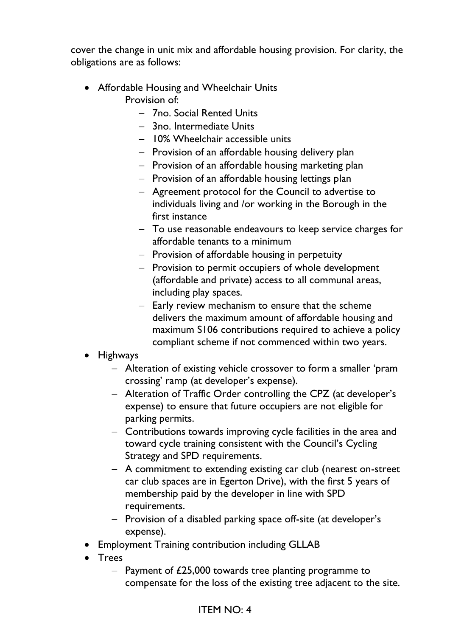cover the change in unit mix and affordable housing provision. For clarity, the obligations are as follows:

- Affordable Housing and Wheelchair Units Provision of:
	- − 7no. Social Rented Units
	- − 3no. Intermediate Units
	- − 10% Wheelchair accessible units
	- − Provision of an affordable housing delivery plan
	- − Provision of an affordable housing marketing plan
	- − Provision of an affordable housing lettings plan
	- − Agreement protocol for the Council to advertise to individuals living and /or working in the Borough in the first instance
	- − To use reasonable endeavours to keep service charges for affordable tenants to a minimum
	- − Provision of affordable housing in perpetuity
	- − Provision to permit occupiers of whole development (affordable and private) access to all communal areas, including play spaces.
	- − Early review mechanism to ensure that the scheme delivers the maximum amount of affordable housing and maximum S106 contributions required to achieve a policy compliant scheme if not commenced within two years.
- Highways
	- − Alteration of existing vehicle crossover to form a smaller 'pram crossing' ramp (at developer's expense).
	- − Alteration of Traffic Order controlling the CPZ (at developer's expense) to ensure that future occupiers are not eligible for parking permits.
	- − Contributions towards improving cycle facilities in the area and toward cycle training consistent with the Council's Cycling Strategy and SPD requirements.
	- − A commitment to extending existing car club (nearest on-street car club spaces are in Egerton Drive), with the first 5 years of membership paid by the developer in line with SPD requirements.
	- − Provision of a disabled parking space off-site (at developer's expense).
- Employment Training contribution including GLLAB
- Trees
	- − Payment of £25,000 towards tree planting programme to compensate for the loss of the existing tree adjacent to the site.